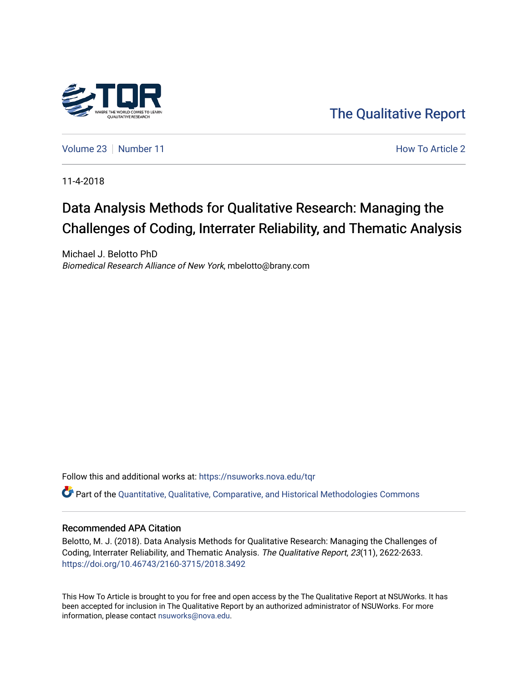

[The Qualitative Report](https://nsuworks.nova.edu/tqr) 

[Volume 23](https://nsuworks.nova.edu/tqr/vol23) [Number 11](https://nsuworks.nova.edu/tqr/vol23/iss11) **Number 11** According to Article 2 Article 2 Article 2 Article 2 Article 2 Article 2 Article 2

11-4-2018

# Data Analysis Methods for Qualitative Research: Managing the Challenges of Coding, Interrater Reliability, and Thematic Analysis

Michael J. Belotto PhD Biomedical Research Alliance of New York, mbelotto@brany.com

Follow this and additional works at: [https://nsuworks.nova.edu/tqr](https://nsuworks.nova.edu/tqr?utm_source=nsuworks.nova.edu%2Ftqr%2Fvol23%2Fiss11%2F2&utm_medium=PDF&utm_campaign=PDFCoverPages) 

Part of the [Quantitative, Qualitative, Comparative, and Historical Methodologies Commons](http://network.bepress.com/hgg/discipline/423?utm_source=nsuworks.nova.edu%2Ftqr%2Fvol23%2Fiss11%2F2&utm_medium=PDF&utm_campaign=PDFCoverPages) 

#### Recommended APA Citation

Belotto, M. J. (2018). Data Analysis Methods for Qualitative Research: Managing the Challenges of Coding, Interrater Reliability, and Thematic Analysis. The Qualitative Report, 23(11), 2622-2633. <https://doi.org/10.46743/2160-3715/2018.3492>

This How To Article is brought to you for free and open access by the The Qualitative Report at NSUWorks. It has been accepted for inclusion in The Qualitative Report by an authorized administrator of NSUWorks. For more information, please contact [nsuworks@nova.edu.](mailto:nsuworks@nova.edu)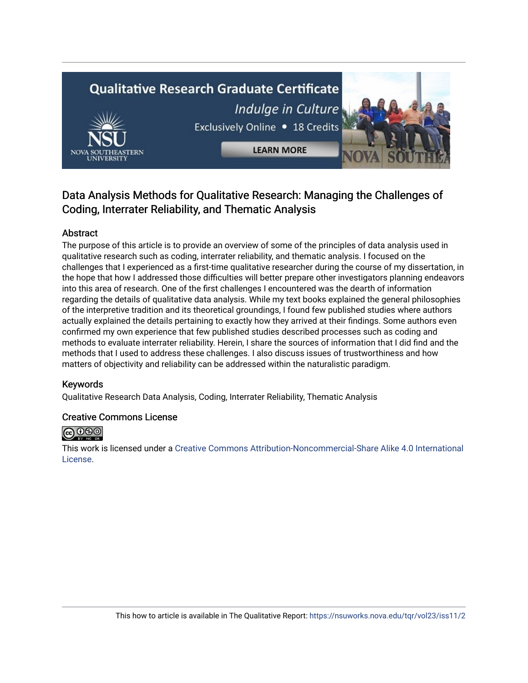# **Qualitative Research Graduate Certificate** Indulge in Culture Exclusively Online . 18 Credits



## Data Analysis Methods for Qualitative Research: Managing the Challenges of Coding, Interrater Reliability, and Thematic Analysis

#### Abstract

The purpose of this article is to provide an overview of some of the principles of data analysis used in qualitative research such as coding, interrater reliability, and thematic analysis. I focused on the challenges that I experienced as a first-time qualitative researcher during the course of my dissertation, in the hope that how I addressed those difficulties will better prepare other investigators planning endeavors into this area of research. One of the first challenges I encountered was the dearth of information regarding the details of qualitative data analysis. While my text books explained the general philosophies of the interpretive tradition and its theoretical groundings, I found few published studies where authors actually explained the details pertaining to exactly how they arrived at their findings. Some authors even confirmed my own experience that few published studies described processes such as coding and methods to evaluate interrater reliability. Herein, I share the sources of information that I did find and the methods that I used to address these challenges. I also discuss issues of trustworthiness and how matters of objectivity and reliability can be addressed within the naturalistic paradigm.

#### Keywords

Qualitative Research Data Analysis, Coding, Interrater Reliability, Thematic Analysis

#### Creative Commons License



This work is licensed under a [Creative Commons Attribution-Noncommercial-Share Alike 4.0 International](https://creativecommons.org/licenses/by-nc-sa/4.0/)  [License](https://creativecommons.org/licenses/by-nc-sa/4.0/).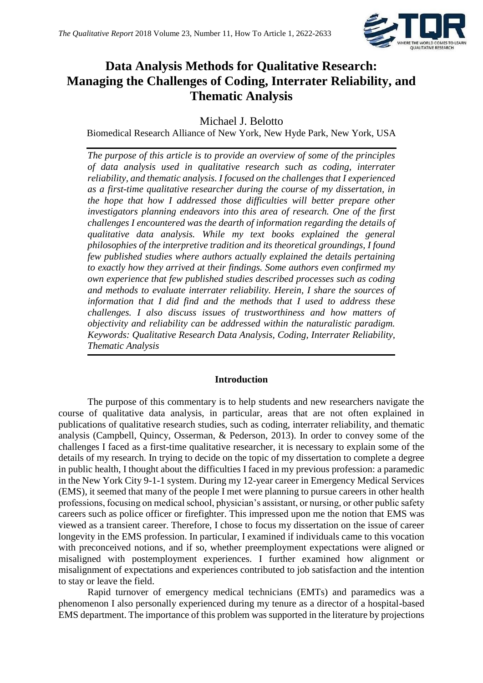

## **Data Analysis Methods for Qualitative Research: Managing the Challenges of Coding, Interrater Reliability, and Thematic Analysis**

Michael J. Belotto

Biomedical Research Alliance of New York, New Hyde Park, New York, USA

*The purpose of this article is to provide an overview of some of the principles of data analysis used in qualitative research such as coding, interrater reliability, and thematic analysis. I focused on the challenges that I experienced as a first-time qualitative researcher during the course of my dissertation, in the hope that how I addressed those difficulties will better prepare other investigators planning endeavors into this area of research. One of the first challenges I encountered was the dearth of information regarding the details of qualitative data analysis. While my text books explained the general philosophies of the interpretive tradition and its theoretical groundings, I found few published studies where authors actually explained the details pertaining to exactly how they arrived at their findings. Some authors even confirmed my own experience that few published studies described processes such as coding and methods to evaluate interrater reliability. Herein, I share the sources of information that I did find and the methods that I used to address these challenges. I also discuss issues of trustworthiness and how matters of objectivity and reliability can be addressed within the naturalistic paradigm. Keywords: Qualitative Research Data Analysis, Coding, Interrater Reliability, Thematic Analysis*

#### **Introduction**

The purpose of this commentary is to help students and new researchers navigate the course of qualitative data analysis, in particular, areas that are not often explained in publications of qualitative research studies, such as coding, interrater reliability, and thematic analysis (Campbell, Quincy, Osserman, & Pederson, 2013). In order to convey some of the challenges I faced as a first-time qualitative researcher, it is necessary to explain some of the details of my research. In trying to decide on the topic of my dissertation to complete a degree in public health, I thought about the difficulties I faced in my previous profession: a paramedic in the New York City 9-1-1 system. During my 12-year career in Emergency Medical Services (EMS), it seemed that many of the people I met were planning to pursue careers in other health professions, focusing on medical school, physician's assistant, or nursing, or other public safety careers such as police officer or firefighter. This impressed upon me the notion that EMS was viewed as a transient career. Therefore, I chose to focus my dissertation on the issue of career longevity in the EMS profession. In particular, I examined if individuals came to this vocation with preconceived notions, and if so, whether preemployment expectations were aligned or misaligned with postemployment experiences. I further examined how alignment or misalignment of expectations and experiences contributed to job satisfaction and the intention to stay or leave the field.

Rapid turnover of emergency medical technicians (EMTs) and paramedics was a phenomenon I also personally experienced during my tenure as a director of a hospital-based EMS department. The importance of this problem was supported in the literature by projections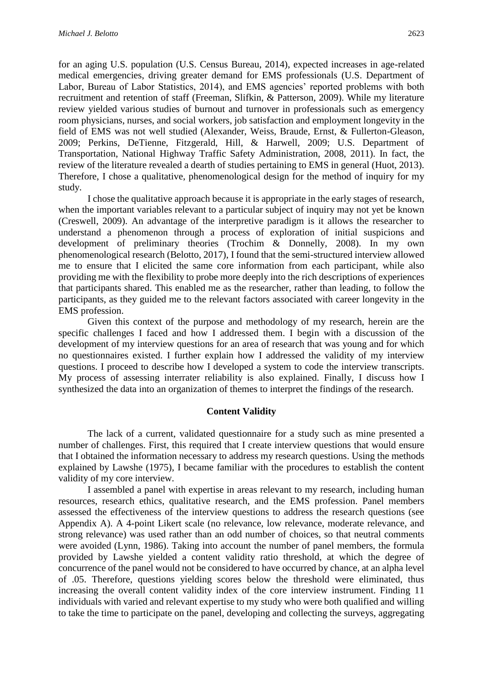for an aging U.S. population (U.S. Census Bureau, 2014), expected increases in age-related medical emergencies, driving greater demand for EMS professionals (U.S. Department of Labor, Bureau of Labor Statistics, 2014), and EMS agencies' reported problems with both recruitment and retention of staff (Freeman, Slifkin, & Patterson, 2009). While my literature review yielded various studies of burnout and turnover in professionals such as emergency room physicians, nurses, and social workers, job satisfaction and employment longevity in the field of EMS was not well studied (Alexander, Weiss, Braude, Ernst, & Fullerton-Gleason, 2009; Perkins, DeTienne, Fitzgerald, Hill, & Harwell, 2009; U.S. Department of Transportation, National Highway Traffic Safety Administration, 2008, 2011). In fact, the review of the literature revealed a dearth of studies pertaining to EMS in general (Huot, 2013). Therefore, I chose a qualitative, phenomenological design for the method of inquiry for my study.

I chose the qualitative approach because it is appropriate in the early stages of research, when the important variables relevant to a particular subject of inquiry may not yet be known (Creswell, 2009). An advantage of the interpretive paradigm is it allows the researcher to understand a phenomenon through a process of exploration of initial suspicions and development of preliminary theories (Trochim & Donnelly, 2008). In my own phenomenological research (Belotto, 2017), I found that the semi-structured interview allowed me to ensure that I elicited the same core information from each participant, while also providing me with the flexibility to probe more deeply into the rich descriptions of experiences that participants shared. This enabled me as the researcher, rather than leading, to follow the participants, as they guided me to the relevant factors associated with career longevity in the EMS profession.

Given this context of the purpose and methodology of my research, herein are the specific challenges I faced and how I addressed them. I begin with a discussion of the development of my interview questions for an area of research that was young and for which no questionnaires existed. I further explain how I addressed the validity of my interview questions. I proceed to describe how I developed a system to code the interview transcripts. My process of assessing interrater reliability is also explained. Finally, I discuss how I synthesized the data into an organization of themes to interpret the findings of the research.

#### **Content Validity**

The lack of a current, validated questionnaire for a study such as mine presented a number of challenges. First, this required that I create interview questions that would ensure that I obtained the information necessary to address my research questions. Using the methods explained by Lawshe (1975), I became familiar with the procedures to establish the content validity of my core interview.

I assembled a panel with expertise in areas relevant to my research, including human resources, research ethics, qualitative research, and the EMS profession. Panel members assessed the effectiveness of the interview questions to address the research questions (see Appendix A). A 4-point Likert scale (no relevance, low relevance, moderate relevance, and strong relevance) was used rather than an odd number of choices, so that neutral comments were avoided (Lynn, 1986). Taking into account the number of panel members, the formula provided by Lawshe yielded a content validity ratio threshold, at which the degree of concurrence of the panel would not be considered to have occurred by chance, at an alpha level of .05. Therefore, questions yielding scores below the threshold were eliminated, thus increasing the overall content validity index of the core interview instrument. Finding 11 individuals with varied and relevant expertise to my study who were both qualified and willing to take the time to participate on the panel, developing and collecting the surveys, aggregating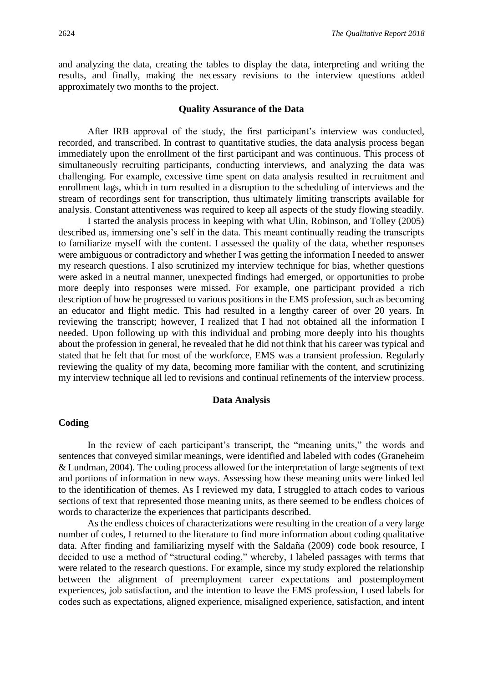and analyzing the data, creating the tables to display the data, interpreting and writing the results, and finally, making the necessary revisions to the interview questions added approximately two months to the project.

#### **Quality Assurance of the Data**

After IRB approval of the study, the first participant's interview was conducted, recorded, and transcribed. In contrast to quantitative studies, the data analysis process began immediately upon the enrollment of the first participant and was continuous. This process of simultaneously recruiting participants, conducting interviews, and analyzing the data was challenging. For example, excessive time spent on data analysis resulted in recruitment and enrollment lags, which in turn resulted in a disruption to the scheduling of interviews and the stream of recordings sent for transcription, thus ultimately limiting transcripts available for analysis. Constant attentiveness was required to keep all aspects of the study flowing steadily.

I started the analysis process in keeping with what Ulin, Robinson, and Tolley (2005) described as, immersing one's self in the data. This meant continually reading the transcripts to familiarize myself with the content. I assessed the quality of the data, whether responses were ambiguous or contradictory and whether I was getting the information I needed to answer my research questions. I also scrutinized my interview technique for bias, whether questions were asked in a neutral manner, unexpected findings had emerged, or opportunities to probe more deeply into responses were missed. For example, one participant provided a rich description of how he progressed to various positions in the EMS profession, such as becoming an educator and flight medic. This had resulted in a lengthy career of over 20 years. In reviewing the transcript; however, I realized that I had not obtained all the information I needed. Upon following up with this individual and probing more deeply into his thoughts about the profession in general, he revealed that he did not think that his career was typical and stated that he felt that for most of the workforce, EMS was a transient profession. Regularly reviewing the quality of my data, becoming more familiar with the content, and scrutinizing my interview technique all led to revisions and continual refinements of the interview process.

#### **Data Analysis**

#### **Coding**

In the review of each participant's transcript, the "meaning units," the words and sentences that conveyed similar meanings, were identified and labeled with codes (Graneheim & Lundman, 2004). The coding process allowed for the interpretation of large segments of text and portions of information in new ways. Assessing how these meaning units were linked led to the identification of themes. As I reviewed my data, I struggled to attach codes to various sections of text that represented those meaning units, as there seemed to be endless choices of words to characterize the experiences that participants described.

As the endless choices of characterizations were resulting in the creation of a very large number of codes, I returned to the literature to find more information about coding qualitative data. After finding and familiarizing myself with the Saldaña (2009) code book resource, I decided to use a method of "structural coding," whereby, I labeled passages with terms that were related to the research questions. For example, since my study explored the relationship between the alignment of preemployment career expectations and postemployment experiences, job satisfaction, and the intention to leave the EMS profession, I used labels for codes such as expectations, aligned experience, misaligned experience, satisfaction, and intent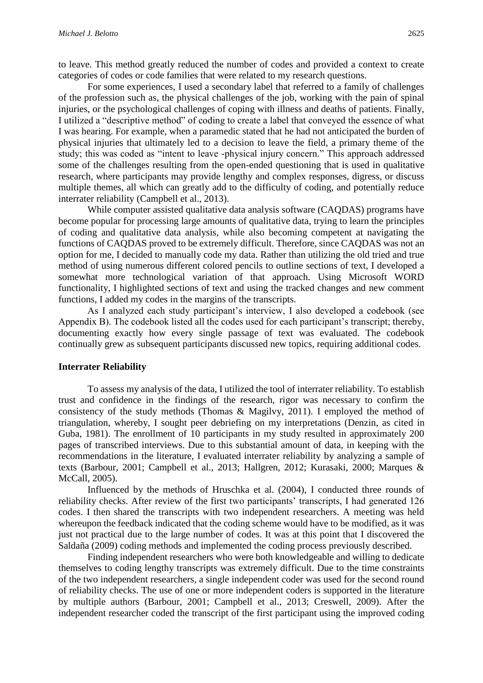to leave. This method greatly reduced the number of codes and provided a context to create categories of codes or code families that were related to my research questions.

For some experiences, I used a secondary label that referred to a family of challenges of the profession such as, the physical challenges of the job, working with the pain of spinal injuries, or the psychological challenges of coping with illness and deaths of patients. Finally, I utilized a "descriptive method" of coding to create a label that conveyed the essence of what I was hearing. For example, when a paramedic stated that he had not anticipated the burden of physical injuries that ultimately led to a decision to leave the field, a primary theme of the study; this was coded as "intent to leave -physical injury concern." This approach addressed some of the challenges resulting from the open-ended questioning that is used in qualitative research, where participants may provide lengthy and complex responses, digress, or discuss multiple themes, all which can greatly add to the difficulty of coding, and potentially reduce interrater reliability (Campbell et al., 2013).

While computer assisted qualitative data analysis software (CAQDAS) programs have become popular for processing large amounts of qualitative data, trying to learn the principles of coding and qualitative data analysis, while also becoming competent at navigating the functions of CAQDAS proved to be extremely difficult. Therefore, since CAQDAS was not an option for me, I decided to manually code my data. Rather than utilizing the old tried and true method of using numerous different colored pencils to outline sections of text, I developed a somewhat more technological variation of that approach. Using Microsoft WORD functionality, I highlighted sections of text and using the tracked changes and new comment functions, I added my codes in the margins of the transcripts.

As I analyzed each study participant's interview, I also developed a codebook (see Appendix B). The codebook listed all the codes used for each participant's transcript; thereby, documenting exactly how every single passage of text was evaluated. The codebook continually grew as subsequent participants discussed new topics, requiring additional codes.

#### **Interrater Reliability**

To assess my analysis of the data, I utilized the tool of interrater reliability. To establish trust and confidence in the findings of the research, rigor was necessary to confirm the consistency of the study methods (Thomas & Magilvy, 2011). I employed the method of triangulation, whereby, I sought peer debriefing on my interpretations (Denzin, as cited in Guba, 1981). The enrollment of 10 participants in my study resulted in approximately 200 pages of transcribed interviews. Due to this substantial amount of data, in keeping with the recommendations in the literature, I evaluated interrater reliability by analyzing a sample of texts (Barbour, 2001; Campbell et al., 2013; Hallgren, 2012; Kurasaki, 2000; Marques & McCall, 2005).

Influenced by the methods of Hruschka et al. (2004), I conducted three rounds of reliability checks. After review of the first two participants' transcripts, I had generated 126 codes. I then shared the transcripts with two independent researchers. A meeting was held whereupon the feedback indicated that the coding scheme would have to be modified, as it was just not practical due to the large number of codes. It was at this point that I discovered the Saldaña (2009) coding methods and implemented the coding process previously described.

Finding independent researchers who were both knowledgeable and willing to dedicate themselves to coding lengthy transcripts was extremely difficult. Due to the time constraints of the two independent researchers, a single independent coder was used for the second round of reliability checks. The use of one or more independent coders is supported in the literature by multiple authors (Barbour, 2001; Campbell et al., 2013; Creswell, 2009). After the independent researcher coded the transcript of the first participant using the improved coding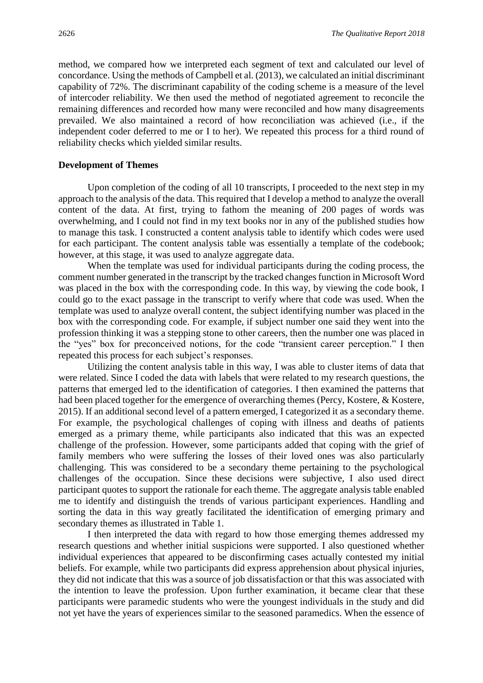method, we compared how we interpreted each segment of text and calculated our level of concordance. Using the methods of Campbell et al. (2013), we calculated an initial discriminant capability of 72%. The discriminant capability of the coding scheme is a measure of the level of intercoder reliability. We then used the method of negotiated agreement to reconcile the remaining differences and recorded how many were reconciled and how many disagreements prevailed. We also maintained a record of how reconciliation was achieved (i.e., if the independent coder deferred to me or I to her). We repeated this process for a third round of reliability checks which yielded similar results.

#### **Development of Themes**

Upon completion of the coding of all 10 transcripts, I proceeded to the next step in my approach to the analysis of the data. This required that I develop a method to analyze the overall content of the data. At first, trying to fathom the meaning of 200 pages of words was overwhelming, and I could not find in my text books nor in any of the published studies how to manage this task. I constructed a content analysis table to identify which codes were used for each participant. The content analysis table was essentially a template of the codebook; however, at this stage, it was used to analyze aggregate data.

When the template was used for individual participants during the coding process, the comment number generated in the transcript by the tracked changes function in Microsoft Word was placed in the box with the corresponding code. In this way, by viewing the code book, I could go to the exact passage in the transcript to verify where that code was used. When the template was used to analyze overall content, the subject identifying number was placed in the box with the corresponding code. For example, if subject number one said they went into the profession thinking it was a stepping stone to other careers, then the number one was placed in the "yes" box for preconceived notions, for the code "transient career perception." I then repeated this process for each subject's responses.

Utilizing the content analysis table in this way, I was able to cluster items of data that were related. Since I coded the data with labels that were related to my research questions, the patterns that emerged led to the identification of categories. I then examined the patterns that had been placed together for the emergence of overarching themes (Percy, Kostere, & Kostere, 2015). If an additional second level of a pattern emerged, I categorized it as a secondary theme. For example, the psychological challenges of coping with illness and deaths of patients emerged as a primary theme, while participants also indicated that this was an expected challenge of the profession. However, some participants added that coping with the grief of family members who were suffering the losses of their loved ones was also particularly challenging. This was considered to be a secondary theme pertaining to the psychological challenges of the occupation. Since these decisions were subjective, I also used direct participant quotes to support the rationale for each theme. The aggregate analysis table enabled me to identify and distinguish the trends of various participant experiences. Handling and sorting the data in this way greatly facilitated the identification of emerging primary and secondary themes as illustrated in Table 1.

I then interpreted the data with regard to how those emerging themes addressed my research questions and whether initial suspicions were supported. I also questioned whether individual experiences that appeared to be disconfirming cases actually contested my initial beliefs. For example, while two participants did express apprehension about physical injuries, they did not indicate that this was a source of job dissatisfaction or that this was associated with the intention to leave the profession. Upon further examination, it became clear that these participants were paramedic students who were the youngest individuals in the study and did not yet have the years of experiences similar to the seasoned paramedics. When the essence of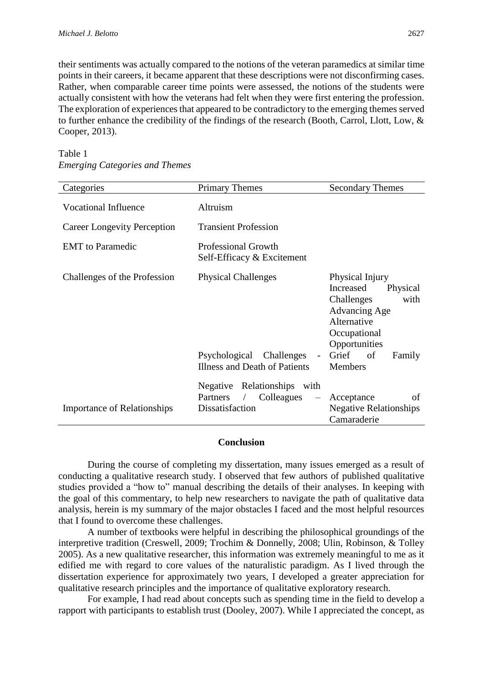their sentiments was actually compared to the notions of the veteran paramedics at similar time points in their careers, it became apparent that these descriptions were not disconfirming cases. Rather, when comparable career time points were assessed, the notions of the students were actually consistent with how the veterans had felt when they were first entering the profession. The exploration of experiences that appeared to be contradictory to the emerging themes served to further enhance the credibility of the findings of the research (Booth, Carrol, Llott, Low, & Cooper, 2013).

| Categories                         | <b>Primary Themes</b>                                                                                | <b>Secondary Themes</b>                                                                                                                                      |  |  |  |  |  |  |
|------------------------------------|------------------------------------------------------------------------------------------------------|--------------------------------------------------------------------------------------------------------------------------------------------------------------|--|--|--|--|--|--|
| <b>Vocational Influence</b>        | Altruism                                                                                             |                                                                                                                                                              |  |  |  |  |  |  |
| <b>Career Longevity Perception</b> | <b>Transient Profession</b>                                                                          |                                                                                                                                                              |  |  |  |  |  |  |
| <b>EMT</b> to Paramedic            | <b>Professional Growth</b><br>Self-Efficacy & Excitement                                             |                                                                                                                                                              |  |  |  |  |  |  |
| Challenges of the Profession       | <b>Physical Challenges</b><br>Psychological<br>Challenges                                            | Physical Injury<br>Increased<br>Physical<br>with<br>Challenges<br><b>Advancing Age</b><br>Alternative<br>Occupational<br>Opportunities<br>Grief of<br>Family |  |  |  |  |  |  |
|                                    | Illness and Death of Patients                                                                        | Members                                                                                                                                                      |  |  |  |  |  |  |
| <b>Importance of Relationships</b> | Negative Relationships with<br>Colleagues<br>Partners<br>$\overline{\phantom{m}}$<br>Dissatisfaction | of<br>Acceptance<br><b>Negative Relationships</b><br>Camaraderie                                                                                             |  |  |  |  |  |  |

Table 1 *Emerging Categories and Themes*

#### **Conclusion**

During the course of completing my dissertation, many issues emerged as a result of conducting a qualitative research study. I observed that few authors of published qualitative studies provided a "how to" manual describing the details of their analyses. In keeping with the goal of this commentary, to help new researchers to navigate the path of qualitative data analysis, herein is my summary of the major obstacles I faced and the most helpful resources that I found to overcome these challenges.

A number of textbooks were helpful in describing the philosophical groundings of the interpretive tradition (Creswell, 2009; Trochim & Donnelly, 2008; Ulin, Robinson, & Tolley 2005). As a new qualitative researcher, this information was extremely meaningful to me as it edified me with regard to core values of the naturalistic paradigm. As I lived through the dissertation experience for approximately two years, I developed a greater appreciation for qualitative research principles and the importance of qualitative exploratory research.

For example, I had read about concepts such as spending time in the field to develop a rapport with participants to establish trust (Dooley, 2007). While I appreciated the concept, as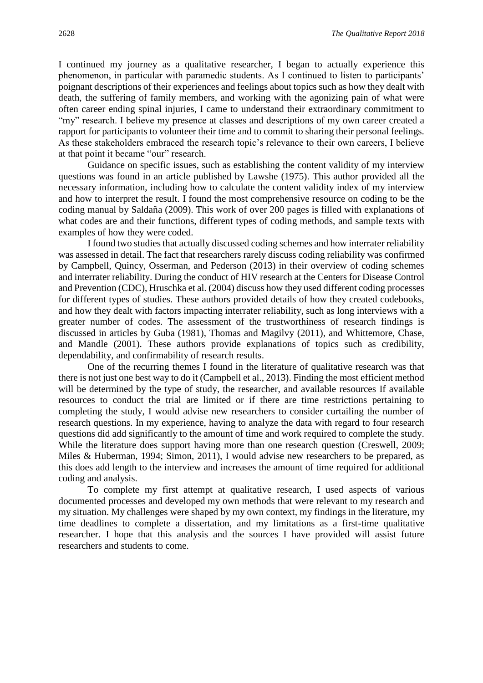I continued my journey as a qualitative researcher, I began to actually experience this phenomenon, in particular with paramedic students. As I continued to listen to participants' poignant descriptions of their experiences and feelings about topics such as how they dealt with death, the suffering of family members, and working with the agonizing pain of what were often career ending spinal injuries, I came to understand their extraordinary commitment to "my" research. I believe my presence at classes and descriptions of my own career created a rapport for participants to volunteer their time and to commit to sharing their personal feelings. As these stakeholders embraced the research topic's relevance to their own careers, I believe at that point it became "our" research.

Guidance on specific issues, such as establishing the content validity of my interview questions was found in an article published by Lawshe (1975). This author provided all the necessary information, including how to calculate the content validity index of my interview and how to interpret the result. I found the most comprehensive resource on coding to be the coding manual by Saldaña (2009). This work of over 200 pages is filled with explanations of what codes are and their functions, different types of coding methods, and sample texts with examples of how they were coded.

I found two studies that actually discussed coding schemes and how interrater reliability was assessed in detail. The fact that researchers rarely discuss coding reliability was confirmed by Campbell, Quincy, Osserman, and Pederson (2013) in their overview of coding schemes and interrater reliability. During the conduct of HIV research at the Centers for Disease Control and Prevention (CDC), Hruschka et al. (2004) discuss how they used different coding processes for different types of studies. These authors provided details of how they created codebooks, and how they dealt with factors impacting interrater reliability, such as long interviews with a greater number of codes. The assessment of the trustworthiness of research findings is discussed in articles by Guba (1981), Thomas and Magilvy (2011), and Whittemore, Chase, and Mandle (2001). These authors provide explanations of topics such as credibility, dependability, and confirmability of research results.

One of the recurring themes I found in the literature of qualitative research was that there is not just one best way to do it (Campbell et al., 2013). Finding the most efficient method will be determined by the type of study, the researcher, and available resources If available resources to conduct the trial are limited or if there are time restrictions pertaining to completing the study, I would advise new researchers to consider curtailing the number of research questions. In my experience, having to analyze the data with regard to four research questions did add significantly to the amount of time and work required to complete the study. While the literature does support having more than one research question (Creswell, 2009; Miles & Huberman, 1994; Simon, 2011), I would advise new researchers to be prepared, as this does add length to the interview and increases the amount of time required for additional coding and analysis.

To complete my first attempt at qualitative research, I used aspects of various documented processes and developed my own methods that were relevant to my research and my situation. My challenges were shaped by my own context, my findings in the literature, my time deadlines to complete a dissertation, and my limitations as a first-time qualitative researcher. I hope that this analysis and the sources I have provided will assist future researchers and students to come.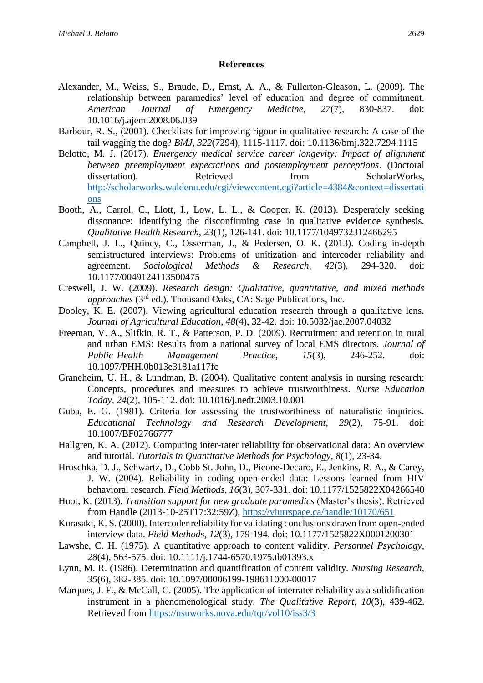#### **References**

- Alexander, M., Weiss, S., Braude, D., Ernst, A. A., & Fullerton-Gleason, L. (2009). The relationship between paramedics' level of education and degree of commitment. *American Journal of Emergency Medicine, 27*(7)*,* 830-837. doi: 10.1016/j.ajem.2008.06.039
- Barbour, R. S., (2001). Checklists for improving rigour in qualitative research: A case of the tail wagging the dog? *BMJ, 322*(7294), 1115-1117. doi: 10.1136/bmj.322.7294.1115
- Belotto, M. J. (2017). *Emergency medical service career longevity: Impact of alignment between preemployment expectations and postemployment perceptions*. (Doctoral dissertation). Retrieved from ScholarWorks, [http://scholarworks.waldenu.edu/cgi/viewcontent.cgi?article=4384&context=dissertati](http://scholarworks.waldenu.edu/cgi/viewcontent.cgi?article=4384&context=dissertations) [ons](http://scholarworks.waldenu.edu/cgi/viewcontent.cgi?article=4384&context=dissertations)
- Booth, A., Carrol, C., Llott, I., Low, L. L., & Cooper, K. (2013). Desperately seeking dissonance: Identifying the disconfirming case in qualitative evidence synthesis. *Qualitative Health Research, 23*(1), 126-141. doi: 10.1177/1049732312466295
- Campbell, J. L., Quincy, C., Osserman, J., & Pedersen, O. K. (2013). Coding in-depth semistructured interviews: Problems of unitization and intercoder reliability and agreement. *Sociological Methods & Research, 42*(3), 294-320. doi: 10.1177/0049124113500475
- Creswell, J. W. (2009). *Research design: Qualitative, quantitative, and mixed methods approaches* (3rd ed.). Thousand Oaks, CA: Sage Publications, Inc.
- Dooley, K. E. (2007). Viewing agricultural education research through a qualitative lens. *Journal of Agricultural Education, 48*(4), 32-42. doi: 10.5032/jae.2007.04032
- Freeman, V. A., Slifkin, R. T., & Patterson, P. D. (2009). Recruitment and retention in rural and urban EMS: Results from a national survey of local EMS directors. *Journal of Public Health Management Practice, 15*(3), 246-252. doi: 10.1097/PHH.0b013e3181a117fc
- Graneheim, U. H., & Lundman, B. (2004). Qualitative content analysis in nursing research: Concepts, procedures and measures to achieve trustworthiness. *Nurse Education Today, 24*(2)*,* 105-112. doi: 10.1016/j.nedt.2003.10.001
- Guba, E. G. (1981). Criteria for assessing the trustworthiness of naturalistic inquiries. *Educational Technology and Research Development, 29*(2), 75-91. doi: 10.1007/BF02766777
- Hallgren, K. A. (2012). Computing inter-rater reliability for observational data: An overview and tutorial. *Tutorials in Quantitative Methods for Psychology, 8*(1), 23-34.
- Hruschka, D. J., Schwartz, D., Cobb St. John, D., Picone-Decaro, E., Jenkins, R. A., & Carey, J. W. (2004). Reliability in coding open-ended data: Lessons learned from HIV behavioral research. *Field Methods, 16*(3), 307-331. doi: 10.1177/1525822X04266540
- Huot, K. (2013). *Transition support for new graduate paramedics* (Master's thesis). Retrieved from Handle (2013-10-25T17:32:59Z), <https://viurrspace.ca/handle/10170/651>
- Kurasaki, K. S. (2000). Intercoder reliability for validating conclusions drawn from open-ended interview data. *Field Methods, 12*(3), 179-194. doi: 10.1177/1525822X0001200301
- Lawshe, C. H. (1975). A quantitative approach to content validity. *Personnel Psychology, 28*(4), 563-575. doi: 10.1111/j.1744-6570.1975.tb01393.x
- Lynn, M. R. (1986). Determination and quantification of content validity. *Nursing Research, 35*(6)*,* 382-385. doi: 10.1097/00006199-198611000-00017
- Marques, J. F., & McCall, C. (2005). The application of interrater reliability as a solidification instrument in a phenomenological study. *The Qualitative Report, 10*(3), 439-462. Retrieved from<https://nsuworks.nova.edu/tqr/vol10/iss3/3>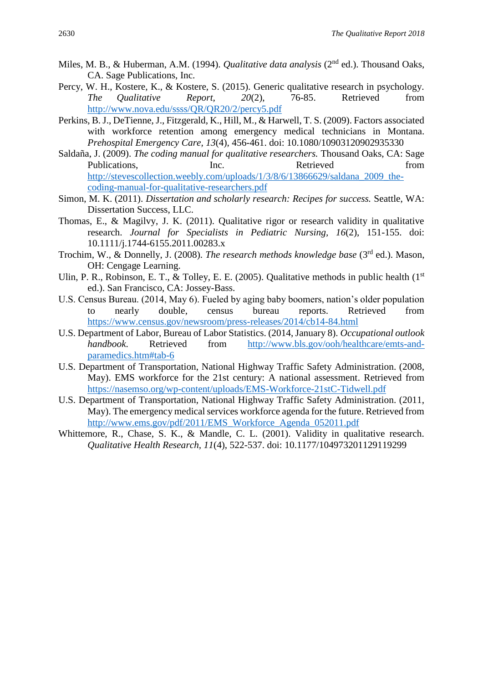- Miles, M. B., & Huberman, A.M. (1994). *Qualitative data analysis* (2<sup>nd</sup> ed.). Thousand Oaks, CA. Sage Publications, Inc.
- Percy, W. H., Kostere, K., & Kostere, S. (2015). Generic qualitative research in psychology. *The Qualitative Report, 20*(2), 76-85. Retrieved from <http://www.nova.edu/ssss/QR/QR20/2/percy5.pdf>
- Perkins, B. J., DeTienne, J., Fitzgerald, K., Hill, M., & Harwell, T. S. (2009). Factors associated with workforce retention among emergency medical technicians in Montana. *Prehospital Emergency Care, 13*(4)*,* 456-461. doi: 10.1080/10903120902935330
- Saldaña, J. (2009). *The coding manual for qualitative researchers.* Thousand Oaks, CA: Sage Publications. The Inc. Retrieved from From The Retrieved from  $\mathbb{R}$ [http://stevescollection.weebly.com/uploads/1/3/8/6/13866629/saldana\\_2009\\_the](http://stevescollection.weebly.com/uploads/1/3/8/6/13866629/saldana_2009_the-coding-manual-for-qualitative-researchers.pdf)[coding-manual-for-qualitative-researchers.pdf](http://stevescollection.weebly.com/uploads/1/3/8/6/13866629/saldana_2009_the-coding-manual-for-qualitative-researchers.pdf)
- Simon, M. K. (2011). *Dissertation and scholarly research: Recipes for success.* Seattle, WA: Dissertation Success, LLC.
- Thomas, E., & Magilvy, J. K. (2011). Qualitative rigor or research validity in qualitative research. *Journal for Specialists in Pediatric Nursing, 16*(2), 151-155. doi: 10.1111/j.1744-6155.2011.00283.x
- Trochim, W., & Donnelly, J. (2008). *The research methods knowledge base* (3rd ed.). Mason, OH: Cengage Learning.
- Ulin, P. R., Robinson, E. T., & Tolley, E. E. (2005). Qualitative methods in public health ( $1<sup>st</sup>$ ed.). San Francisco, CA: Jossey-Bass.
- U.S. Census Bureau. (2014, May 6). Fueled by aging baby boomers, nation's older population to nearly double, census bureau reports. Retrieved from <https://www.census.gov/newsroom/press-releases/2014/cb14-84.html>
- U.S. Department of Labor, Bureau of Labor Statistics. (2014, January 8). *Occupational outlook handbook*. Retrieved from [http://www.bls.gov/ooh/healthcare/emts-and](http://www.bls.gov/ooh/healthcare/emts-and-paramedics.htm#tab-6)[paramedics.htm#tab-6](http://www.bls.gov/ooh/healthcare/emts-and-paramedics.htm#tab-6)
- U.S. Department of Transportation, National Highway Traffic Safety Administration. (2008, May). EMS workforce for the 21st century: A national assessment. Retrieved from <https://nasemso.org/wp-content/uploads/EMS-Workforce-21stC-Tidwell.pdf>
- U.S. Department of Transportation, National Highway Traffic Safety Administration. (2011, May). The emergency medical services workforce agenda for the future. Retrieved from [http://www.ems.gov/pdf/2011/EMS\\_Workforce\\_Agenda\\_052011.pdf](http://www.ems.gov/pdf/2011/EMS_Workforce_Agenda_052011.pdf)
- Whittemore, R., Chase, S. K., & Mandle, C. L. (2001). Validity in qualitative research. *Qualitative Health Research, 11*(4), 522-537. doi: 10.1177/104973201129119299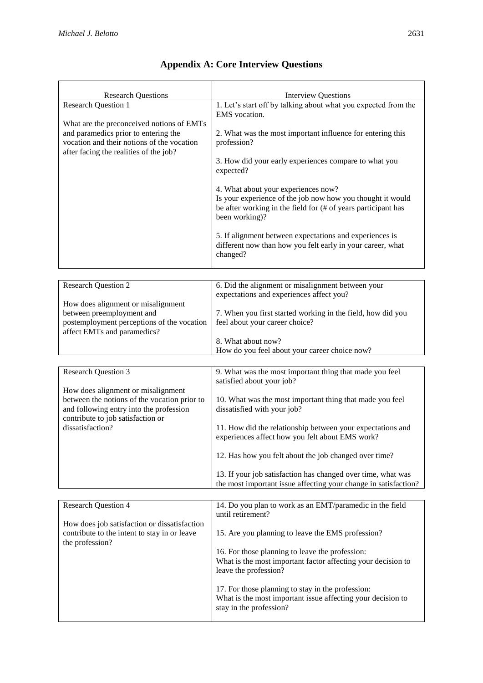| <b>Research Questions</b><br><b>Research Question 1</b><br>What are the preconceived notions of EMTs<br>and paramedics prior to entering the<br>vocation and their notions of the vocation<br>after facing the realities of the job? | <b>Interview Questions</b><br>1. Let's start off by talking about what you expected from the<br>EMS vocation.<br>2. What was the most important influence for entering this<br>profession?<br>3. How did your early experiences compare to what you<br>expected?<br>4. What about your experiences now?<br>Is your experience of the job now how you thought it would<br>be after working in the field for (# of years participant has<br>been working)?<br>5. If alignment between expectations and experiences is<br>different now than how you felt early in your career, what |
|--------------------------------------------------------------------------------------------------------------------------------------------------------------------------------------------------------------------------------------|-----------------------------------------------------------------------------------------------------------------------------------------------------------------------------------------------------------------------------------------------------------------------------------------------------------------------------------------------------------------------------------------------------------------------------------------------------------------------------------------------------------------------------------------------------------------------------------|
|                                                                                                                                                                                                                                      | changed?                                                                                                                                                                                                                                                                                                                                                                                                                                                                                                                                                                          |
|                                                                                                                                                                                                                                      |                                                                                                                                                                                                                                                                                                                                                                                                                                                                                                                                                                                   |
| <b>Research Question 2</b>                                                                                                                                                                                                           | 6. Did the alignment or misalignment between your<br>expectations and experiences affect you?                                                                                                                                                                                                                                                                                                                                                                                                                                                                                     |
| How does alignment or misalignment                                                                                                                                                                                                   |                                                                                                                                                                                                                                                                                                                                                                                                                                                                                                                                                                                   |
| between preemployment and<br>postemployment perceptions of the vocation                                                                                                                                                              | 7. When you first started working in the field, how did you<br>feel about your career choice?                                                                                                                                                                                                                                                                                                                                                                                                                                                                                     |
| affect EMTs and paramedics?                                                                                                                                                                                                          |                                                                                                                                                                                                                                                                                                                                                                                                                                                                                                                                                                                   |
|                                                                                                                                                                                                                                      | 8. What about now?<br>How do you feel about your career choice now?                                                                                                                                                                                                                                                                                                                                                                                                                                                                                                               |
|                                                                                                                                                                                                                                      |                                                                                                                                                                                                                                                                                                                                                                                                                                                                                                                                                                                   |
| <b>Research Question 3</b>                                                                                                                                                                                                           | 9. What was the most important thing that made you feel                                                                                                                                                                                                                                                                                                                                                                                                                                                                                                                           |
| How does alignment or misalignment                                                                                                                                                                                                   | satisfied about your job?                                                                                                                                                                                                                                                                                                                                                                                                                                                                                                                                                         |
| between the notions of the vocation prior to<br>and following entry into the profession<br>contribute to job satisfaction or                                                                                                         | 10. What was the most important thing that made you feel<br>dissatisfied with your job?                                                                                                                                                                                                                                                                                                                                                                                                                                                                                           |
| dissatisfaction?                                                                                                                                                                                                                     | 11. How did the relationship between your expectations and<br>experiences affect how you felt about EMS work?                                                                                                                                                                                                                                                                                                                                                                                                                                                                     |
|                                                                                                                                                                                                                                      | 12. Has how you felt about the job changed over time?                                                                                                                                                                                                                                                                                                                                                                                                                                                                                                                             |
|                                                                                                                                                                                                                                      | 13. If your job satisfaction has changed over time, what was<br>the most important issue affecting your change in satisfaction?                                                                                                                                                                                                                                                                                                                                                                                                                                                   |
|                                                                                                                                                                                                                                      |                                                                                                                                                                                                                                                                                                                                                                                                                                                                                                                                                                                   |
| <b>Research Question 4</b>                                                                                                                                                                                                           | 14. Do you plan to work as an EMT/paramedic in the field<br>until retirement?                                                                                                                                                                                                                                                                                                                                                                                                                                                                                                     |
| How does job satisfaction or dissatisfaction<br>contribute to the intent to stay in or leave<br>the profession?                                                                                                                      | 15. Are you planning to leave the EMS profession?                                                                                                                                                                                                                                                                                                                                                                                                                                                                                                                                 |
|                                                                                                                                                                                                                                      | 16. For those planning to leave the profession:                                                                                                                                                                                                                                                                                                                                                                                                                                                                                                                                   |

leave the profession?

stay in the profession?

What is the most important factor affecting your decision to

What is the most important issue affecting your decision to

17. For those planning to stay in the profession:

### **Appendix A: Core Interview Questions**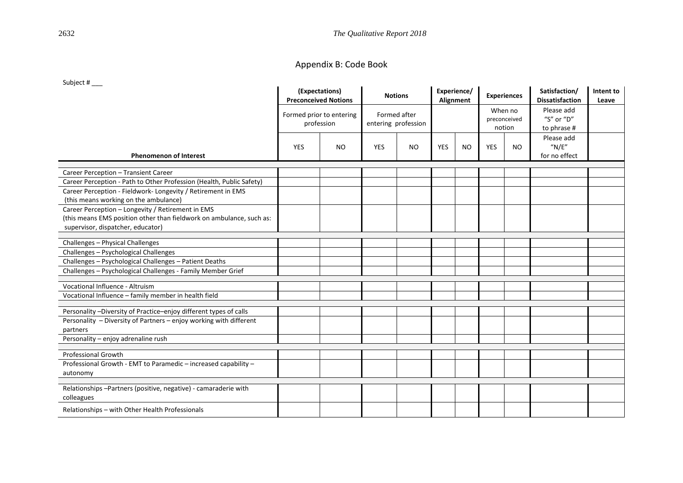2632 *The Qualitative Report 2018*

### Appendix B: Code Book

#### Subject # \_\_\_

|                                                                                                           | (Expectations)<br><b>Preconceived Notions</b><br>Formed prior to entering<br>profession |           | <b>Notions</b><br>Formed after<br>entering profession |           | Experience/<br>Alignment |           | <b>Experiences</b><br>When no<br>preconceived<br>notion |           | Satisfaction/<br><b>Dissatisfaction</b> | Intent to<br>Leave |
|-----------------------------------------------------------------------------------------------------------|-----------------------------------------------------------------------------------------|-----------|-------------------------------------------------------|-----------|--------------------------|-----------|---------------------------------------------------------|-----------|-----------------------------------------|--------------------|
|                                                                                                           |                                                                                         |           |                                                       |           |                          |           |                                                         |           | Please add<br>"S" or "D"<br>to phrase # |                    |
| <b>Phenomenon of Interest</b>                                                                             | <b>YES</b>                                                                              | <b>NO</b> | <b>YES</b>                                            | <b>NO</b> | <b>YES</b>               | <b>NO</b> | <b>YES</b>                                              | <b>NO</b> | Please add<br>''N/E''<br>for no effect  |                    |
|                                                                                                           |                                                                                         |           |                                                       |           |                          |           |                                                         |           |                                         |                    |
| Career Perception - Transient Career                                                                      |                                                                                         |           |                                                       |           |                          |           |                                                         |           |                                         |                    |
| Career Perception - Path to Other Profession (Health, Public Safety)                                      |                                                                                         |           |                                                       |           |                          |           |                                                         |           |                                         |                    |
| Career Perception - Fieldwork-Longevity / Retirement in EMS<br>(this means working on the ambulance)      |                                                                                         |           |                                                       |           |                          |           |                                                         |           |                                         |                    |
| Career Perception - Longevity / Retirement in EMS                                                         |                                                                                         |           |                                                       |           |                          |           |                                                         |           |                                         |                    |
| (this means EMS position other than fieldwork on ambulance, such as:<br>supervisor, dispatcher, educator) |                                                                                         |           |                                                       |           |                          |           |                                                         |           |                                         |                    |
|                                                                                                           |                                                                                         |           |                                                       |           |                          |           |                                                         |           |                                         |                    |
| Challenges - Physical Challenges                                                                          |                                                                                         |           |                                                       |           |                          |           |                                                         |           |                                         |                    |
| Challenges - Psychological Challenges                                                                     |                                                                                         |           |                                                       |           |                          |           |                                                         |           |                                         |                    |
| Challenges - Psychological Challenges - Patient Deaths                                                    |                                                                                         |           |                                                       |           |                          |           |                                                         |           |                                         |                    |
| Challenges - Psychological Challenges - Family Member Grief                                               |                                                                                         |           |                                                       |           |                          |           |                                                         |           |                                         |                    |
| Vocational Influence - Altruism                                                                           |                                                                                         |           |                                                       |           |                          |           |                                                         |           |                                         |                    |
| Vocational Influence - family member in health field                                                      |                                                                                         |           |                                                       |           |                          |           |                                                         |           |                                         |                    |
| Personality -Diversity of Practice-enjoy different types of calls                                         |                                                                                         |           |                                                       |           |                          |           |                                                         |           |                                         |                    |
| Personality - Diversity of Partners - enjoy working with different<br>partners                            |                                                                                         |           |                                                       |           |                          |           |                                                         |           |                                         |                    |
| Personality - enjoy adrenaline rush                                                                       |                                                                                         |           |                                                       |           |                          |           |                                                         |           |                                         |                    |
|                                                                                                           |                                                                                         |           |                                                       |           |                          |           |                                                         |           |                                         |                    |
| <b>Professional Growth</b>                                                                                |                                                                                         |           |                                                       |           |                          |           |                                                         |           |                                         |                    |
| Professional Growth - EMT to Paramedic - increased capability -<br>autonomy                               |                                                                                         |           |                                                       |           |                          |           |                                                         |           |                                         |                    |
|                                                                                                           |                                                                                         |           |                                                       |           |                          |           |                                                         |           |                                         |                    |
| Relationships-Partners (positive, negative) - camaraderie with<br>colleagues                              |                                                                                         |           |                                                       |           |                          |           |                                                         |           |                                         |                    |
| Relationships - with Other Health Professionals                                                           |                                                                                         |           |                                                       |           |                          |           |                                                         |           |                                         |                    |